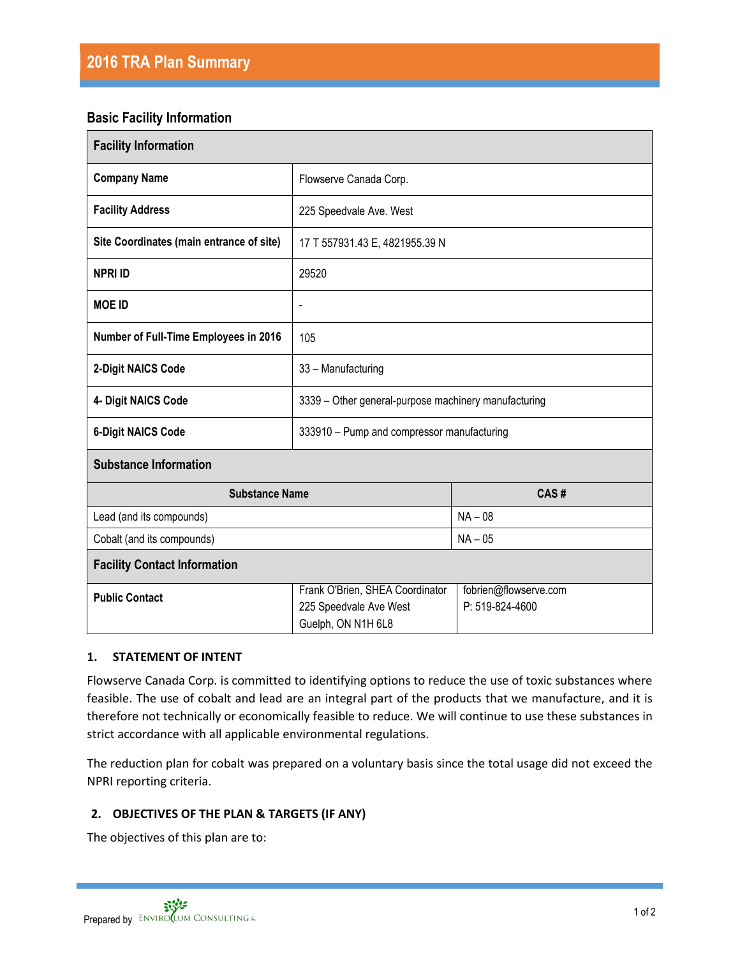# **Basic Facility Information**

| <b>Facility Information</b>              |                                                                                 |                                          |
|------------------------------------------|---------------------------------------------------------------------------------|------------------------------------------|
| <b>Company Name</b>                      | Flowserve Canada Corp.                                                          |                                          |
| <b>Facility Address</b>                  | 225 Speedvale Ave. West                                                         |                                          |
| Site Coordinates (main entrance of site) | 17 T 557931.43 E, 4821955.39 N                                                  |                                          |
| <b>NPRI ID</b>                           | 29520                                                                           |                                          |
| <b>MOE ID</b>                            | $\qquad \qquad \blacksquare$                                                    |                                          |
| Number of Full-Time Employees in 2016    | 105                                                                             |                                          |
| 2-Digit NAICS Code                       | 33 - Manufacturing                                                              |                                          |
| 4- Digit NAICS Code                      | 3339 - Other general-purpose machinery manufacturing                            |                                          |
| <b>6-Digit NAICS Code</b>                | 333910 - Pump and compressor manufacturing                                      |                                          |
| <b>Substance Information</b>             |                                                                                 |                                          |
| <b>Substance Name</b>                    |                                                                                 | CAS#                                     |
| Lead (and its compounds)                 |                                                                                 | $NA - 08$                                |
| Cobalt (and its compounds)               |                                                                                 | $NA - 05$                                |
| <b>Facility Contact Information</b>      |                                                                                 |                                          |
| <b>Public Contact</b>                    | Frank O'Brien, SHEA Coordinator<br>225 Speedvale Ave West<br>Guelph, ON N1H 6L8 | fobrien@flowserve.com<br>P: 519-824-4600 |

### **1. STATEMENT OF INTENT**

Flowserve Canada Corp. is committed to identifying options to reduce the use of toxic substances where feasible. The use of cobalt and lead are an integral part of the products that we manufacture, and it is therefore not technically or economically feasible to reduce. We will continue to use these substances in strict accordance with all applicable environmental regulations.

The reduction plan for cobalt was prepared on a voluntary basis since the total usage did not exceed the NPRI reporting criteria.

# **2. OBJECTIVES OF THE PLAN & TARGETS (IF ANY)**

The objectives of this plan are to: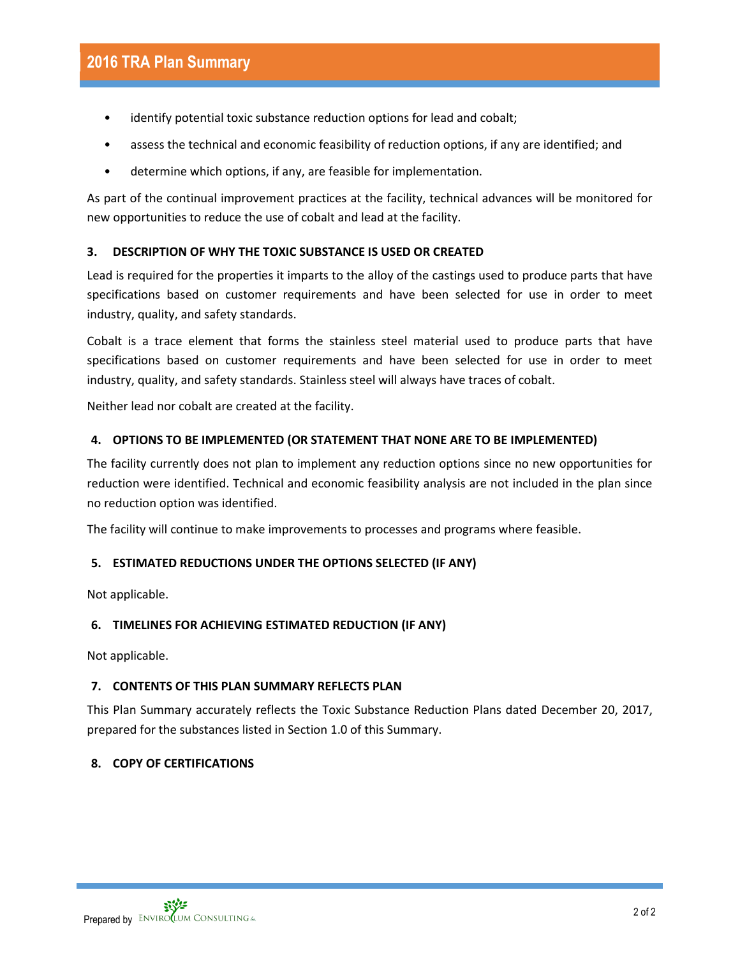- identify potential toxic substance reduction options for lead and cobalt;
- assess the technical and economic feasibility of reduction options, if any are identified; and
- determine which options, if any, are feasible for implementation.

As part of the continual improvement practices at the facility, technical advances will be monitored for new opportunities to reduce the use of cobalt and lead at the facility.

## **3. DESCRIPTION OF WHY THE TOXIC SUBSTANCE IS USED OR CREATED**

Lead is required for the properties it imparts to the alloy of the castings used to produce parts that have specifications based on customer requirements and have been selected for use in order to meet industry, quality, and safety standards.

Cobalt is a trace element that forms the stainless steel material used to produce parts that have specifications based on customer requirements and have been selected for use in order to meet industry, quality, and safety standards. Stainless steel will always have traces of cobalt.

Neither lead nor cobalt are created at the facility.

## **4. OPTIONS TO BE IMPLEMENTED (OR STATEMENT THAT NONE ARE TO BE IMPLEMENTED)**

The facility currently does not plan to implement any reduction options since no new opportunities for reduction were identified. Technical and economic feasibility analysis are not included in the plan since no reduction option was identified.

The facility will continue to make improvements to processes and programs where feasible.

### **5. ESTIMATED REDUCTIONS UNDER THE OPTIONS SELECTED (IF ANY)**

Not applicable.

### **6. TIMELINES FOR ACHIEVING ESTIMATED REDUCTION (IF ANY)**

Not applicable.

### **7. CONTENTS OF THIS PLAN SUMMARY REFLECTS PLAN**

This Plan Summary accurately reflects the Toxic Substance Reduction Plans dated December 20, 2017, prepared for the substances listed in Section 1.0 of this Summary.

### **8. COPY OF CERTIFICATIONS**